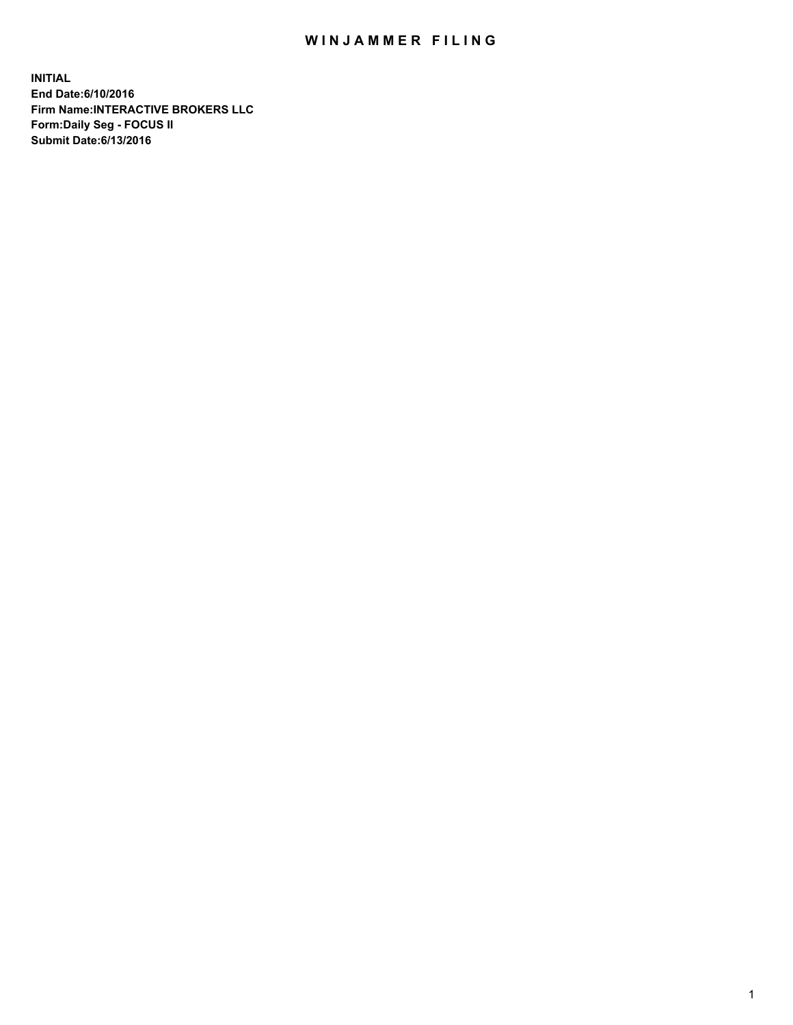## WIN JAMMER FILING

**INITIAL End Date:6/10/2016 Firm Name:INTERACTIVE BROKERS LLC Form:Daily Seg - FOCUS II Submit Date:6/13/2016**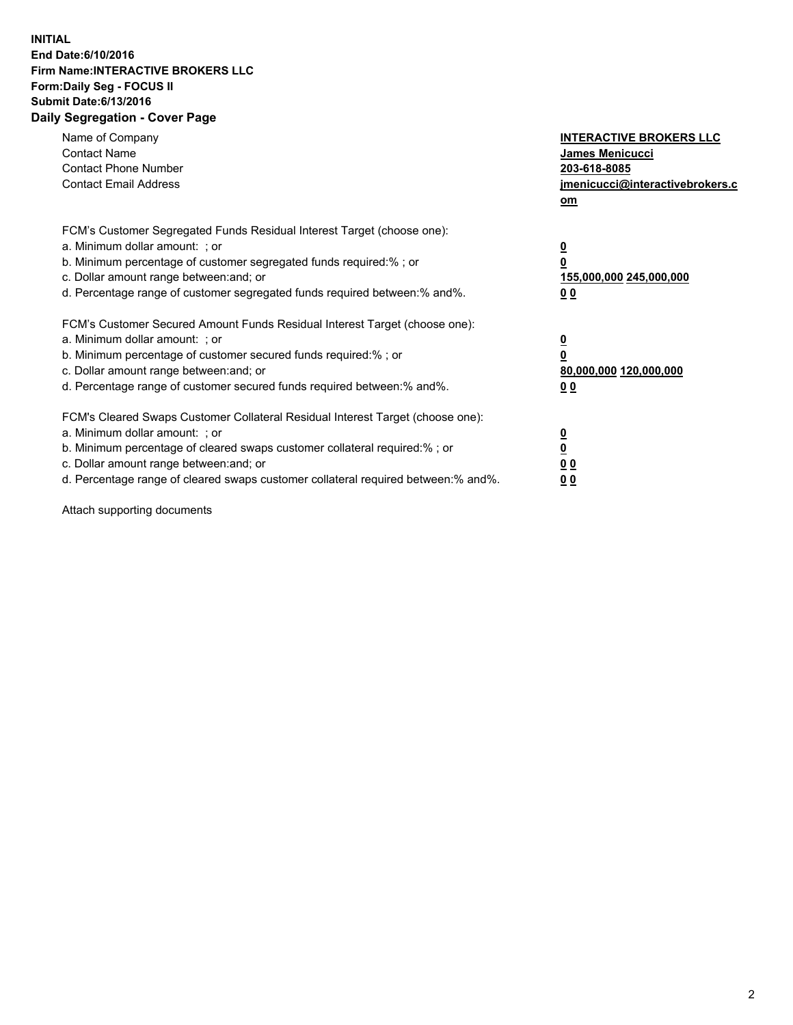## **INITIAL End Date:6/10/2016 Firm Name:INTERACTIVE BROKERS LLC Form:Daily Seg - FOCUS II Submit Date:6/13/2016 Daily Segregation - Cover Page**

| Name of Company<br><b>Contact Name</b><br><b>Contact Phone Number</b><br><b>Contact Email Address</b>                                                                                                                                                                                                                          | <b>INTERACTIVE BROKERS LLC</b><br><b>James Menicucci</b><br>203-618-8085<br>jmenicucci@interactivebrokers.c<br>om |
|--------------------------------------------------------------------------------------------------------------------------------------------------------------------------------------------------------------------------------------------------------------------------------------------------------------------------------|-------------------------------------------------------------------------------------------------------------------|
| FCM's Customer Segregated Funds Residual Interest Target (choose one):<br>a. Minimum dollar amount: ; or<br>b. Minimum percentage of customer segregated funds required:% ; or<br>c. Dollar amount range between: and; or<br>d. Percentage range of customer segregated funds required between: % and %.                       | $\overline{\mathbf{0}}$<br>0<br>155,000,000 245,000,000<br>00                                                     |
| FCM's Customer Secured Amount Funds Residual Interest Target (choose one):<br>a. Minimum dollar amount: ; or<br>b. Minimum percentage of customer secured funds required:%; or<br>c. Dollar amount range between: and; or<br>d. Percentage range of customer secured funds required between: % and %.                          | $\overline{\mathbf{0}}$<br>0<br>80,000,000 120,000,000<br>00                                                      |
| FCM's Cleared Swaps Customer Collateral Residual Interest Target (choose one):<br>a. Minimum dollar amount: ; or<br>b. Minimum percentage of cleared swaps customer collateral required:% ; or<br>c. Dollar amount range between: and; or<br>d. Percentage range of cleared swaps customer collateral required between:% and%. | $\overline{\mathbf{0}}$<br>$\overline{\mathbf{0}}$<br>00<br>0 <sub>0</sub>                                        |

Attach supporting documents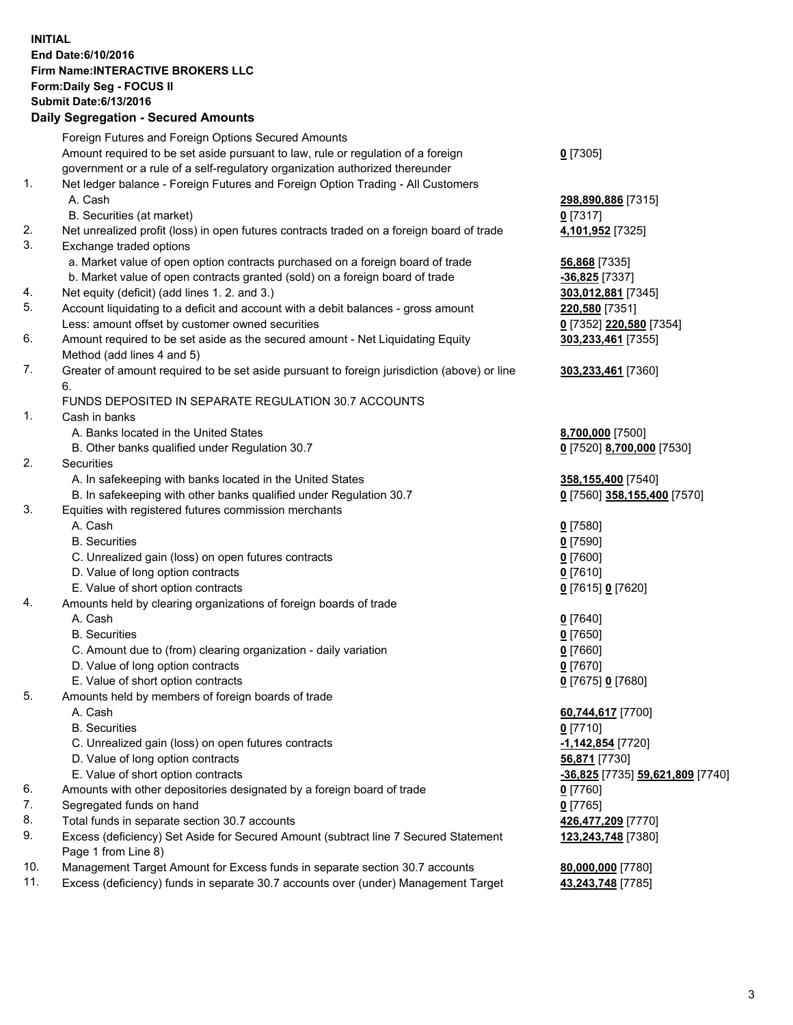## **INITIAL End Date:6/10/2016 Firm Name:INTERACTIVE BROKERS LLC Form:Daily Seg - FOCUS II Submit Date:6/13/2016 Daily Segregation - Secured Amounts**

|     | Daily Ocglegation - Occuled Amounts                                                                        |                                      |
|-----|------------------------------------------------------------------------------------------------------------|--------------------------------------|
|     | Foreign Futures and Foreign Options Secured Amounts                                                        |                                      |
|     | Amount required to be set aside pursuant to law, rule or regulation of a foreign                           | $0$ [7305]                           |
|     | government or a rule of a self-regulatory organization authorized thereunder                               |                                      |
| 1.  | Net ledger balance - Foreign Futures and Foreign Option Trading - All Customers                            |                                      |
|     | A. Cash                                                                                                    | 298,890,886 [7315]                   |
|     | B. Securities (at market)                                                                                  | $0$ [7317]                           |
| 2.  | Net unrealized profit (loss) in open futures contracts traded on a foreign board of trade                  | 4,101,952 [7325]                     |
| 3.  | Exchange traded options                                                                                    |                                      |
|     | a. Market value of open option contracts purchased on a foreign board of trade                             | 56,868 [7335]                        |
|     | b. Market value of open contracts granted (sold) on a foreign board of trade                               | $-36,825$ [7337]                     |
| 4.  | Net equity (deficit) (add lines 1. 2. and 3.)                                                              | 303,012,881 [7345]                   |
| 5.  | Account liquidating to a deficit and account with a debit balances - gross amount                          | 220,580 [7351]                       |
|     | Less: amount offset by customer owned securities                                                           | 0 [7352] 220,580 [7354]              |
| 6.  | Amount required to be set aside as the secured amount - Net Liquidating Equity                             | 303,233,461 [7355]                   |
|     | Method (add lines 4 and 5)                                                                                 |                                      |
| 7.  | Greater of amount required to be set aside pursuant to foreign jurisdiction (above) or line                | 303,233,461 [7360]                   |
|     | 6.                                                                                                         |                                      |
|     | FUNDS DEPOSITED IN SEPARATE REGULATION 30.7 ACCOUNTS                                                       |                                      |
| 1.  | Cash in banks                                                                                              |                                      |
|     | A. Banks located in the United States                                                                      | 8,700,000 [7500]                     |
|     | B. Other banks qualified under Regulation 30.7                                                             | 0 [7520] 8,700,000 [7530]            |
| 2.  | Securities                                                                                                 |                                      |
|     | A. In safekeeping with banks located in the United States                                                  | 358,155,400 [7540]                   |
|     | B. In safekeeping with other banks qualified under Regulation 30.7                                         | 0 [7560] 358,155,400 [7570]          |
| 3.  | Equities with registered futures commission merchants                                                      |                                      |
|     | A. Cash                                                                                                    | $0$ [7580]                           |
|     | <b>B.</b> Securities                                                                                       | $0$ [7590]                           |
|     | C. Unrealized gain (loss) on open futures contracts                                                        | $0$ [7600]                           |
|     | D. Value of long option contracts                                                                          | $0$ [7610]                           |
|     | E. Value of short option contracts                                                                         | 0 [7615] 0 [7620]                    |
| 4.  | Amounts held by clearing organizations of foreign boards of trade                                          |                                      |
|     | A. Cash                                                                                                    | $0$ [7640]                           |
|     | <b>B.</b> Securities                                                                                       | $0$ [7650]                           |
|     | C. Amount due to (from) clearing organization - daily variation                                            | $0$ [7660]                           |
|     | D. Value of long option contracts                                                                          | $0$ [7670]                           |
| 5.  | E. Value of short option contracts                                                                         | 0 [7675] 0 [7680]                    |
|     | Amounts held by members of foreign boards of trade                                                         |                                      |
|     | A. Cash<br><b>B.</b> Securities                                                                            | 60,744,617 [7700]                    |
|     |                                                                                                            | $0$ [7710]                           |
|     | C. Unrealized gain (loss) on open futures contracts<br>D. Value of long option contracts                   | $-1,142,854$ [7720]<br>56,871 [7730] |
|     | E. Value of short option contracts                                                                         | -36,825 [7735] 59,621,809 [7740]     |
| 6.  | Amounts with other depositories designated by a foreign board of trade                                     |                                      |
| 7.  | Segregated funds on hand                                                                                   | 0 [7760]<br>$0$ [7765]               |
| 8.  | Total funds in separate section 30.7 accounts                                                              |                                      |
| 9.  |                                                                                                            | 426,477,209 [7770]                   |
|     | Excess (deficiency) Set Aside for Secured Amount (subtract line 7 Secured Statement<br>Page 1 from Line 8) | 123,243,748 [7380]                   |
| 10. | Management Target Amount for Excess funds in separate section 30.7 accounts                                | 80,000,000 [7780]                    |
| 11. | Excess (deficiency) funds in separate 30.7 accounts over (under) Management Target                         | 43,243,748 [7785]                    |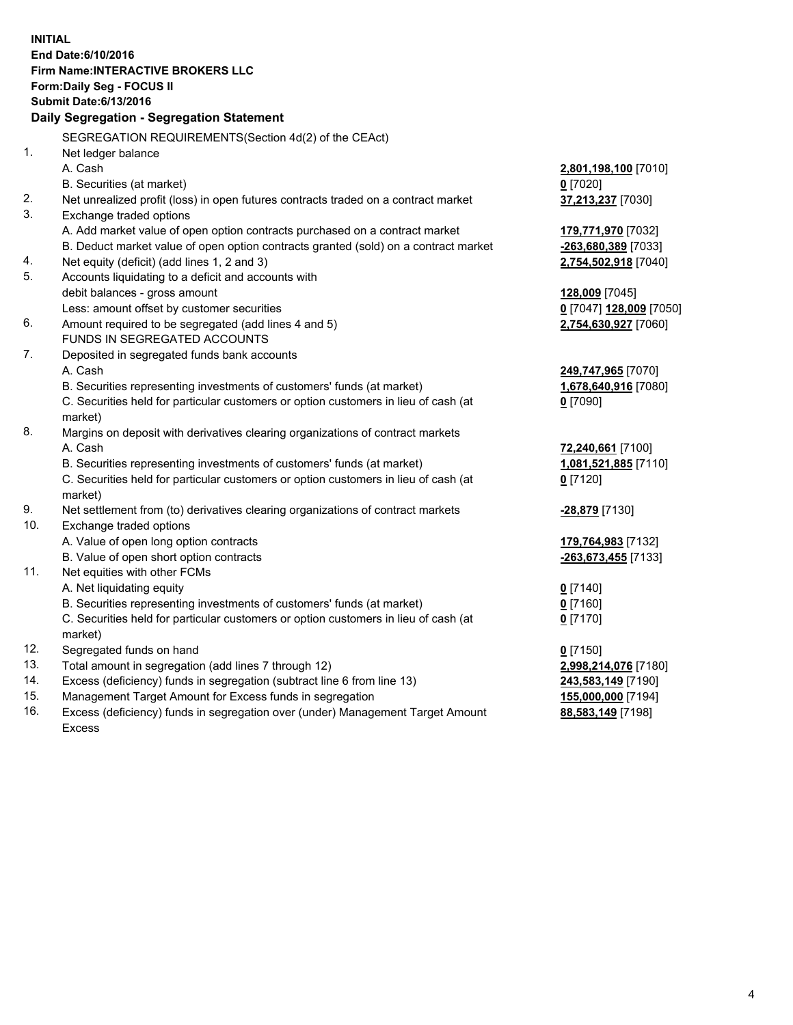**INITIAL End Date:6/10/2016 Firm Name:INTERACTIVE BROKERS LLC Form:Daily Seg - FOCUS II Submit Date:6/13/2016 Daily Segregation - Segregation Statement** SEGREGATION REQUIREMENTS(Section 4d(2) of the CEAct) 1. Net ledger balance A. Cash **2,801,198,100** [7010] B. Securities (at market) **0** [7020] 2. Net unrealized profit (loss) in open futures contracts traded on a contract market **37,213,237** [7030] 3. Exchange traded options A. Add market value of open option contracts purchased on a contract market **179,771,970** [7032] B. Deduct market value of open option contracts granted (sold) on a contract market **-263,680,389** [7033] 4. Net equity (deficit) (add lines 1, 2 and 3) **2,754,502,918** [7040] 5. Accounts liquidating to a deficit and accounts with debit balances - gross amount **128,009** [7045] Less: amount offset by customer securities **0** [7047] **128,009** [7050] 6. Amount required to be segregated (add lines 4 and 5) **2,754,630,927** [7060] FUNDS IN SEGREGATED ACCOUNTS 7. Deposited in segregated funds bank accounts A. Cash **249,747,965** [7070] B. Securities representing investments of customers' funds (at market) **1,678,640,916** [7080] C. Securities held for particular customers or option customers in lieu of cash (at market) **0** [7090] 8. Margins on deposit with derivatives clearing organizations of contract markets A. Cash **72,240,661** [7100] B. Securities representing investments of customers' funds (at market) **1,081,521,885** [7110] C. Securities held for particular customers or option customers in lieu of cash (at market) **0** [7120] 9. Net settlement from (to) derivatives clearing organizations of contract markets **-28,879** [7130] 10. Exchange traded options A. Value of open long option contracts **179,764,983** [7132] B. Value of open short option contracts **-263,673,455** [7133] 11. Net equities with other FCMs A. Net liquidating equity **0** [7140] B. Securities representing investments of customers' funds (at market) **0** [7160] C. Securities held for particular customers or option customers in lieu of cash (at market) **0** [7170] 12. Segregated funds on hand **0** [7150] 13. Total amount in segregation (add lines 7 through 12) **2,998,214,076** [7180] 14. Excess (deficiency) funds in segregation (subtract line 6 from line 13) **243,583,149** [7190] 15. Management Target Amount for Excess funds in segregation **155,000,000** [7194]

16. Excess (deficiency) funds in segregation over (under) Management Target Amount Excess

**88,583,149** [7198]